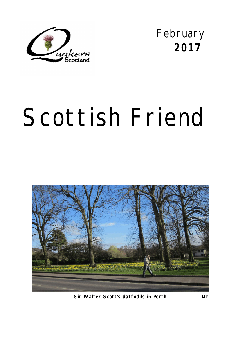

February **2017** 

# Scottish Friend



**Sir Walter Scott's daffodils in Perth** MP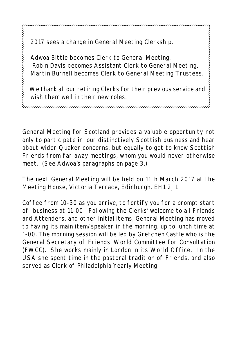2017 sees a change in General Meeting Clerkship.

くくくくくくくくくくくくくくくくくくくくくくくくくくくくくくくく

 Adwoa Bittle becomes Clerk to General Meeting. Robin Davis becomes Assistant Clerk to General Meeting. Martin Burnell becomes Clerk to General Meeting Trustees.

 We thank all our retiring Clerks for their previous service and wish them well in their new roles.

General Meeting for Scotland provides a valuable opportunity not only to participate in our distinctively Scottish business and hear about wider Quaker concerns, but equally to get to know Scottish Friends from far away meetings, whom you would never otherwise meet. (See Adwoa's paragraphs on page 3.)

The next General Meeting will be held on 11th March 2017 at the Meeting House, Victoria Terrace, Edinburgh. EH1 2JL

Coffee from 10-30 as you arrive, to fortify you for a prompt start of business at 11-00. Following the Clerks' welcome to all Friends and Attenders, and other initial items, General Meeting has moved to having its main item/speaker in the morning, up to lunch time at 1-00. The morning session will be led by Gretchen Castle who is the General Secretary of Friends' World Committee for Consultation (FWCC). She works mainly in London in its World Office. In the USA she spent time in the pastoral tradition of Friends, and also served as Clerk of Philadelphia Yearly Meeting.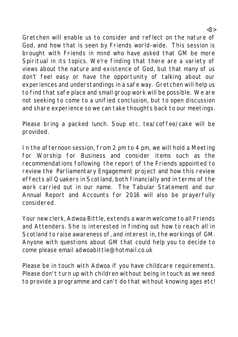Gretchen will enable us to consider and reflect on the nature of God, and how that is seen by Friends world-wide. This session is brought with Friends in mind who have asked that GM be more Spiritual in its topics. We're finding that there are a variety of views about the nature and existence of God, but that many of us don't feel easy or have the opportunity of talking about our experiences and understandings in a safe way. Gretchen will help us to find that safe place and small group work will be possible. We are not seeking to come to a unified conclusion, but to open discussion and share experience so we can take thoughts back to our meetings.

Please bring a packed lunch. Soup etc. tea/coffee/cake will be provided.

In the afternoon session, from 2 pm to 4 pm, we will hold a Meeting for Worship for Business and consider items such as the recommendations following the report of the Friends appointed to review the Parliamentary Engagement project and how this review effects all Quakers in Scotland, both financially and in terms of the work carried out in our name. The Tabular Statement and our Annual Report and Accounts for 2016 will also be prayerfully considered.

Your new clerk, Adwoa Bittle, extends a warm welcome to all Friends and Attenders. She is interested in finding out how to reach all in Scotland to raise awareness of, and interest in, the workings of GM. Anyone with questions about GM that could help you to decide to come please email adwoabittle@hotmail.co.uk

Please be in touch with Adwoa if you have childcare requirements. Please don't turn up with children without being in touch as we need to provide a programme and can't do that without knowing ages etc!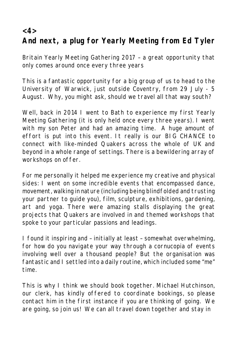**<4>**

## **And next, a plug for Yearly Meeting from Ed Tyler**

Britain Yearly Meeting Gathering 2017 – a great opportunity that only comes around once every three years

This is a fantastic opportunity for a big group of us to head to the University of Warwick, just outside Coventry, from 29 July - 5 August. Why, you might ask, should we travel all that way south?

Well, back in 2014 I went to Bath to experience my first Yearly Meeting Gathering (it is only held once every three years). I went with my son Peter and had an amazing time. A huge amount of effort is put into this event. It really is our BIG CHANCE to connect with like-minded Quakers across the whole of UK and beyond in a whole range of settings. There is a bewildering array of workshops on offer.

For me personally it helped me experience my creative and physical sides: I went on some incredible events that encompassed dance, movement, walking in nature (including being blindfolded and trusting your partner to guide you), film, sculpture, exhibitions, gardening, art and yoga. There were amazing stalls displaying the great projects that Quakers are involved in and themed workshops that spoke to your particular passions and leadings.

I found it inspiring and – initially at least – somewhat overwhelming, for how do you navigate your way through a cornucopia of events involving well over a thousand people? But the organisation was fantastic and I settled into a daily routine, which included some "me" time.

This is why I think we should book together. Michael Hutchinson, our clerk, has kindly offered to coordinate bookings, so please contact him in the first instance if you are thinking of going. We are going, so join us! We can all travel down together and stay in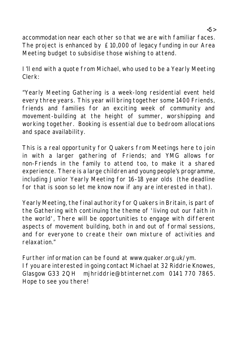accommodation near each other so that we are with familiar faces. The project is enhanced by £10,000 of legacy funding in our Area Meeting budget to subsidise those wishing to attend.

I'll end with a quote from Michael, who used to be a Yearly Meeting Clerk:

"Yearly Meeting Gathering is a week-long residential event held every three years. This year will bring together some 1400 Friends, friends and families for an exciting week of community and movement-building at the height of summer, worshipping and working together. Booking is essential due to bedroom allocations and space availability.

This is a real opportunity for Quakers from Meetings here to join in with a larger gathering of Friends; and YMG allows for non-Friends in the family to attend too, to make it a shared experience. There is a large children and young people's programme, including Junior Yearly Meeting for 16-18 year olds (the deadline for that is soon so let me know now if any are interested in that).

Yearly Meeting, the final authority for Quakers in Britain, is part of the Gathering with continuing the theme of 'living out our faith in the world', There will be opportunities to engage with different aspects of movement building, both in and out of formal sessions, and for everyone to create their own mixture of activities and relaxation."

Further information can be found at www.quaker.org.uk/ym. If you are interested in going contact Michael at 32 Riddrie Knowes, Glasgow G33 2QH mjhriddrie@btinternet.com 0141 770 7865. Hope to see you there!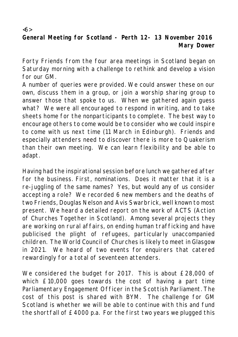**General Meeting for Scotland - Perth 12- 13 November 2016 Mary Dower**

 $\langle 6 \rangle$ 

Forty Friends from the four area meetings in Scotland began on Saturday morning with a challenge to rethink and develop a vision for our GM.

A number of queries were provided. We could answer these on our own, discuss them in a group, or join a worship sharing group to answer those that spoke to us. When we gathered again guess what? We were all encouraged to respond in writing, and to take sheets home for the nonparticipants to complete. The best way to encourage others to come would be to consider who we could inspire to come with us next time (11 March in Edinburgh). Friends and especially attenders need to discover there is more to Quakerism than their own meeting. We can learn flexibility and be able to adapt.

Having had the inspirational session before lunch we gathered after for the business. First, nominations. Does it matter that it is a re-juggling of the same names? Yes, but would any of us consider accepting a role? We recorded 6 new members and the deaths of two Friends, Douglas Nelson and Avis Swarbrick, well known to most present. We heard a detailed report on the work of ACTS (Action of Churches Together in Scotland). Among several projects they are working on rural affairs, on ending human trafficking and have publicised the plight of refugees, particularly unaccompanied children. The World Council of Churches is likely to meet in Glasgow in 2021. We heard of two events for enquirers that catered rewardingly for a total of seventeen attenders.

We considered the budget for 2017. This is about £28,000 of which £10,000 goes towards the cost of having a part time Parliamentary Engagement Officer in the Scottish Parliament. The cost of this post is shared with BYM. The challenge for GM Scotland is whether we will be able to continue with this and fund the shortfall of £4000 p.a. For the first two years we plugged this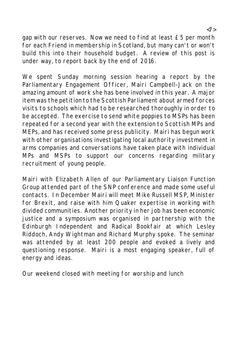gap with our reserves. Now we need to find at least £5 per month for each Friend in membership in Scotland, but many can't or won't build this into their household budget. A review of this post is under way, to report back by the end of 2016.

We spent Sunday morning session hearing a report by the Parliamentary Engagement Officer, Mairi Campbell-Jack on the amazing amount of work she has bene involved in this year. A major item was the petition to the Scottish Parliament about armed forces visits to schools which had to be researched thoroughly in order to be accepted. The exercise to send white poppies to MSPs has been repeated for a second year with the extension to Scottish MPs and MEPs, and has received some press publicity. Mairi has begun work with other organisations investigating local authority investment in arms companies and conversations have taken place with individual MPs and MSPs to support our concerns regarding military recruitment of young people.

Mairi with Elizabeth Allen of our Parliamentary Liaison Function Group attended part of the SNP conference and made some useful contacts. In December Mairi will meet Mike Russell MSP, Minister for Brexit, and raise with him Quaker expertise in working with divided communities. Another priority in her job has been economic justice and a symposium was organised in partnership with the Edinburgh Independent and Radical Bookfair at which Lesley Riddoch, Andy Wightman and Richard Murphy spoke. The seminar was attended by at least 200 people and evoked a lively and questioning response. Mairi is a most engaging speaker, full of energy and ideas.

Our weekend closed with meeting for worship and lunch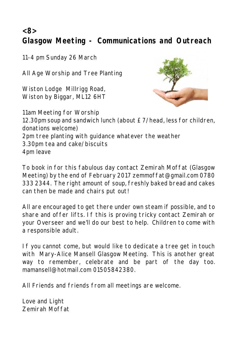**<8>**

**Glasgow Meeting - Communications and Outreach**

11-4 pm Sunday 26 March

All Age Worship and Tree Planting

Wiston Lodge Millrigg Road, Wiston by Biggar, ML12 6HT



11am Meeting for Worship 12.30pm soup and sandwich lunch (about £7/head, less for children, donations welcome) 2pm tree planting with guidance whatever the weather 3.30pm tea and cake/biscuits 4pm leave

To book in for this fabulous day contact Zemirah Moffat (Glasgow Meeting) by the end of February 2017 zemmoffat@gmail.com 0780 333 2344. The right amount of soup, freshly baked bread and cakes can then be made and chairs put out!

All are encouraged to get there under own steam if possible, and to share and offer lifts. If this is proving tricky contact Zemirah or your Overseer and we'll do our best to help. Children to come with a responsible adult.

If you cannot come, but would like to dedicate a tree get in touch with Mary-Alice Mansell Glasgow Meeting. This is another great way to remember, celebrate and be part of the day too. mamansell@hotmail.com 01505842380.

All Friends and friends from all meetings are welcome.

Love and Light Zemirah Moffat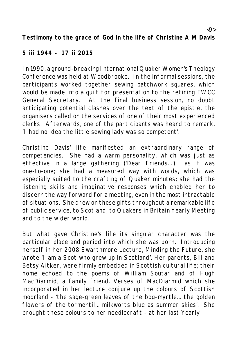**Testimony to the grace of God in the life of Christine A M Davis**

#### **5 iii 1944 - 17 ii 2015**

In 1990, a ground-breaking International Quaker Women's Theology Conference was held at Woodbrooke. In the informal sessions, the participants worked together sewing patchwork squares, which would be made into a quilt for presentation to the retiring FWCC General Secretary. At the final business session, no doubt anticipating potential clashes over the text of the epistle, the organisers called on the services of one of their most experienced clerks. Afterwards, one of the participants was heard to remark, 'I had no idea the little sewing lady was so competent'.

Christine Davis' life manifested an extraordinary range of competencies. She had a warm personality, which was just as effective in a large gathering ('Dear Friends...') as it was one-to-one; she had a measured way with words, which was especially suited to the crafting of Quaker minutes; she had the listening skills and imaginative responses which enabled her to discern the way forward for a meeting, even in the most intractable of situations. She drew on these gifts throughout a remarkable life of public service, to Scotland, to Quakers in Britain Yearly Meeting and to the wider world.

But what gave Christine's life its singular character was the particular place and period into which she was born. Introducing herself in her 2008 Swarthmore Lecture, Minding the Future, she wrote 'I am a Scot who grew up in Scotland'. Her parents, Bill and Betsy Aitken, were firmly embedded in Scottish cultural life; their home echoed to the poems of William Soutar and of Hugh MacDiarmid, a family friend. Verses of MacDiarmid which she incorporated in her lecture conjure up the colours of Scottish moorland - 'the sage-green leaves of the bog-myrtle... the golden flowers of the tormentil... milkworts blue as summer skies'. She brought these colours to her needlecraft - at her last Yearly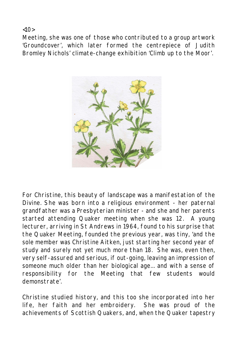$<10$ 

Meeting, she was one of those who contributed to a group artwork 'Groundcover', which later formed the centrepiece of Judith Bromley Nichols' climate-change exhibition 'Climb up to the Moor'.



For Christine, this beauty of landscape was a manifestation of the Divine. She was born into a religious environment - her paternal grandfather was a Presbyterian minister - and she and her parents started attending Quaker meeting when she was 12. A young lecturer, arriving in St Andrews in 1964, found to his surprise that the Quaker Meeting, founded the previous year, was tiny, 'and the sole member was Christine Aitken, just starting her second year of study and surely not yet much more than 18. She was, even then, very self-assured and serious, if out-going, leaving an impression of someone much older than her biological age... and with a sense of responsibility for the Meeting that few students would demonstrate'.

Christine studied history, and this too she incorporated into her life, her faith and her embroidery. She was proud of the achievements of Scottish Quakers, and, when the Quaker tapestry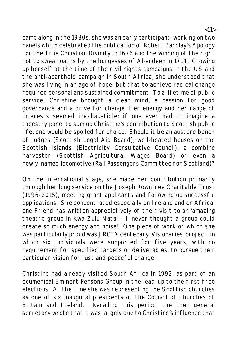came along in the 1980s, she was an early participant, working on two panels which celebrated the publication of Robert Barclay's Apology for the True Christian Divinity in 1676 and the winning of the right not to swear oaths by the burgesses of Aberdeen in 1714. Growing up herself at the time of the civil rights campaigns in the US and the anti-apartheid campaign in South Africa, she understood that she was living in an age of hope, but that to achieve radical change required personal and sustained commitment. To a lifetime of public service, Christine brought a clear mind, a passion for good governance and a drive for change. Her energy and her range of interests seemed inexhaustible: if one ever had to imagine a tapestry panel to sum up Christine's contribution to Scottish public life, one would be spoiled for choice. Should it be an austere bench of judges (Scottish Legal Aid Board), well-heated houses on the Scottish islands (Electricity Consultative Council), a combine harvester (Scottish Agricultural Wages Board) or even a newly-named locomotive (Rail Passengers Committee for Scotland)?

On the international stage, she made her contribution primarily through her long service on the Joseph Rowntree Charitable Trust (1996-2015), meeting grant applicants and following up successful applications. She concentrated especially on Ireland and on Africa: one Friend has written appreciatively of their visit to an 'amazing theatre group in Kwa Zulu Natal - I never thought a group could create so much energy and noise!' One piece of work of which she was particularly proud was JRCT's centenary 'Visionaries' project, in which six individuals were supported for five years, with no requirement for specified targets or deliverables, to pursue their particular vision for just and peaceful change.

Christine had already visited South Africa in 1992, as part of an ecumenical Eminent Persons Group in the lead-up to the first free elections. At the time she was representing the Scottish churches as one of six inaugural presidents of the Council of Churches of Britain and Ireland. Recalling this period, the then general secretary wrote that it was largely due to Christine's influence that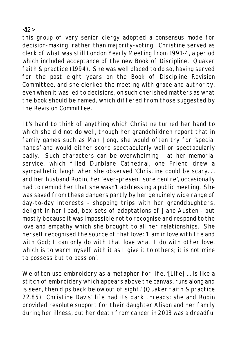this group of very senior clergy adopted a consensus mode for decision-making, rather than majority-voting. Christine served as clerk of what was still London Yearly Meeting from 1991-4, a period which included acceptance of the new Book of Discipline, Quaker faith & practice (1994). She was well placed to do so, having served for the past eight years on the Book of Discipline Revision Committee, and she clerked the meeting with grace and authority, even when it was led to decisions, on such cherished matters as what the book should be named, which differed from those suggested by the Revision Committee.

It's hard to think of anything which Christine turned her hand to which she did not do well, though her grandchildren report that in family games such as Mah Jong, she would often try for 'special hands' and would either score spectacularly well or spectacularly badly. Such characters can be overwhelming - at her memorial service, which filled Dunblane Cathedral, one Friend drew a sympathetic laugh when she observed 'Christine could be scary...', and her husband Robin, her 'ever-present sure centre', occasionally had to remind her that she wasn't addressing a public meeting. She was saved from these dangers partly by her genuinely wide range of day-to-day interests - shopping trips with her granddaughters, delight in her Ipad, box sets of adaptations of Jane Austen - but mostly because it was impossible not to recognise and respond to the love and empathy which she brought to all her relationships. She herself recognised the source of that love: 'I am in love with life and with God; I can only do with that love what I do with other love, which is to warm myself with it as I give it to others; it is not mine to possess but to pass on'.

We often use embroidery as a metaphor for life. '[Life] ... is like a stitch of embroidery which appears above the canvas, runs along and is seen, then dips back below out of sight.' (Quaker faith & practice 22.85) Christine Davis' life had its dark threads; she and Robin provided resolute support for their daughter Alison and her family during her illness, but her death from cancer in 2013 was a dreadful

#### <12>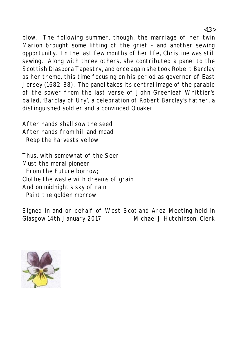blow. The following summer, though, the marriage of her twin Marion brought some lifting of the grief - and another sewing opportunity. In the last few months of her life, Christine was still sewing. Along with three others, she contributed a panel to the Scottish Diaspora Tapestry, and once again she took Robert Barclay as her theme, this time focusing on his period as governor of East Jersey (1682-88). The panel takes its central image of the parable of the sower from the last verse of John Greenleaf Whittier's ballad, 'Barclay of Ury', a celebration of Robert Barclay's father, a distinguished soldier and a convinced Quaker.

After hands shall sow the seed After hands from hill and mead Reap the harvests yellow

Thus, with somewhat of the Seer Must the moral pioneer From the Future borrow; Clothe the waste with dreams of grain And on midnight's sky of rain Paint the golden morrow

Signed in and on behalf of West Scotland Area Meeting held in Glasgow 14th January 2017 Michael J Hutchinson, Clerk

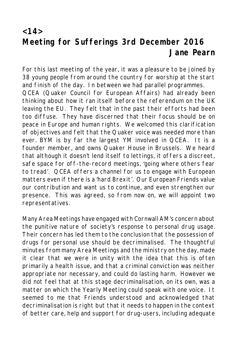## **<14> Meeting for Sufferings 3rd December 2016 Jane Pearn**

For this last meeting of the year, it was a pleasure to be joined by 38 young people from around the country for worship at the start and finish of the day. In between we had parallel programmes. QCEA (Quaker Council for European Affairs) had already been thinking about how it ran itself before the referendum on the UK leaving the EU. They felt that in the past their efforts had been too diffuse. They have discerned that their focus should be on peace in Europe and human rights. We welcomed this clarification of objectives and felt that the Quaker voice was needed more than ever. BYM is by far the largest YM involved in QCEA. It is a founder member, and owns Quaker House in Brussels. We heard that although it doesn't lend itself to lettings, it offers a discreet, safe space for off-the-record meetings, 'going where others fear to tread'. QCEA offers a channel for us to engage with European matters even if there is a 'hard Brexit'. Our European Friends value our contribution and want us to continue, and even strengthen our presence. This was agreed, so from now on, we will appoint two representatives.

Many Area Meetings have engaged with Cornwall AM's concern about the punitive nature of society's response to personal drug usage. Their concern has led them to the conclusion that the possession of drugs for personal use should be decriminalised. The thoughtful minutes from many Area Meetings and the ministry on the day, made it clear that we were in unity with the idea that this is often primarily a health issue, and that a criminal conviction was neither appropriate nor necessary, and could do lasting harm. However we did not feel that at this stage decriminalisation, on its own, was a matter on which the Yearly Meeting could speak with one voice. It seemed to me that Friends understood and acknowledged that decriminalisation is right but that it needs to happen in the context of better care, help and support for drug-users, including adequate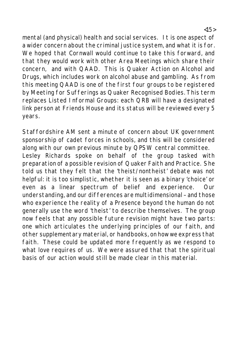mental (and physical) health and social services. It is one aspect of a wider concern about the criminal justice system, and what it is for. We hoped that Cornwall would continue to take this forward, and that they would work with other Area Meetings which share their concern, and with QAAD. This is Quaker Action on Alcohol and Drugs, which includes work on alcohol abuse and gambling. As from this meeting QAAD is one of the first four groups to be registered by Meeting for Sufferings as Quaker Recognised Bodies. This term replaces Listed Informal Groups: each QRB will have a designated link person at Friends House and its status will be reviewed every 5 years.

Staffordshire AM sent a minute of concern about UK government sponsorship of cadet forces in schools, and this will be considered along with our own previous minute by QPSW central committee. Lesley Richards spoke on behalf of the group tasked with preparation of a possible revision of Quaker Faith and Practice. She told us that they felt that the 'theist/nontheist' debate was not helpful: it is too simplistic, whether it is seen as a binary 'choice' or even as a linear spectrum of belief and experience. Our understanding, and our differences are multidimensional – and those who experience the reality of a Presence beyond the human do not generally use the word 'theist' to describe themselves. The group now feels that any possible future revision might have two parts: one which articulates the underlying principles of our faith, and other supplementary material, or handbooks, on how we express that faith. These could be updated more frequently as we respond to what love requires of us. We were assured that that the spiritual basis of our action would still be made clear in this material.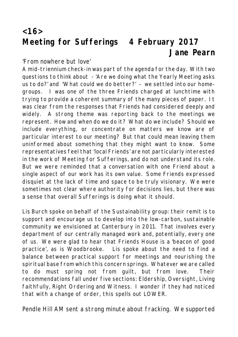## **<16> Meeting for Sufferings 4 February 2017 Jane Pearn**

'From nowhere but love'

A mid-triennium check-in was part of the agenda for the day. With two questions to think about - 'Are we doing what the Yearly Meeting asks us to do?' and 'What could we do better?' - we settled into our homegroups. I was one of the three Friends charged at lunchtime with trying to provide a coherent summary of the many pieces of paper. It was clear from the responses that Friends had considered deeply and widely. A strong theme was reporting back to the meetings we represent. How and when do we do it? What do we include? Should we include everything, or concentrate on matters we know are of particular interest to our meeting? But that could mean leaving them uninformed about something that they might want to know. Some representatives feel that 'local Friends' are not particularly interested in the work of Meeting for Sufferings, and do not understand its role. But we were reminded that a conversation with one Friend about a single aspect of our work has its own value. Some Friends expressed disquiet at the lack of time and space to be truly visionary. We were sometimes not clear where authority for decisions lies, but there was a sense that overall Sufferings is doing what it should.

Lis Burch spoke on behalf of the Sustainability group: their remit is to support and encourage us to develop into the low-carbon, sustainable community we envisioned at Canterbury in 2011. That involves every department of our centrally managed work and, potentially, every one of us. We were glad to hear that Friends House is a 'beacon of good practice', as is Woodbrooke. Lis spoke about the need to find a balance between practical support for meetings and nourishing the spiritual base from which this concern springs. Whatever we are called to do must spring not from guilt, but from love. Their recommendations fall under five sections: Eldership, Oversight, Living faithfully, Right Ordering and Witness. I wonder if they had noticed that with a change of order, this spells out LOWER.

Pendle Hill AM sent a strong minute about fracking. We supported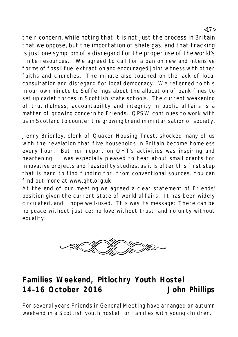their concern, while noting that it is not just the process in Britain that we oppose, but the importation of shale gas; and that fracking is just one symptom of a disregard for the proper use of the world's finite resources. We agreed to call for a ban on new and intensive forms of fossil fuel extraction and encouraged joint witness with other faiths and churches. The minute also touched on the lack of local consultation and disregard for local democracy. We referred to this in our own minute to Sufferings about the allocation of bank fines to set up cadet forces in Scottish state schools. The current weakening of truthfulness, accountability and integrity in public affairs is a matter of growing concern to Friends. QPSW continues to work with us in Scotland to counter the growing trend in militarisation of society.

Jenny Brierley, clerk of Quaker Housing Trust, shocked many of us with the revelation that five households in Britain become homeless every hour. But her report on QHT's activities was inspiring and heartening. I was especially pleased to hear about small grants for innovative projects and feasibility studies, as it is often this first step that is hard to find funding for, from conventional sources. You can find out more at www.qht.org.uk.

At the end of our meeting we agreed a clear statement of Friends' position given the current state of world affairs. It has been widely circulated, and I hope well-used. This was its message: 'There can be no peace without justice; no love without trust; and no unity without equality'.



# **Families Weekend, Pitlochry Youth Hostel 14–16 October 2016 John Phillips**

For several years Friends in General Meeting have arranged an autumn weekend in a Scottish youth hostel for families with young children.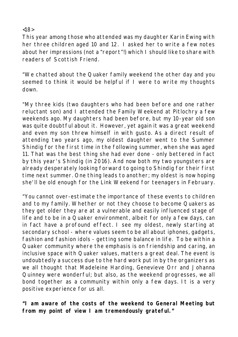$~18$ 

This year among those who attended was my daughter Karin Ewing with her three children aged 10 and 12. I asked her to write a few notes about her impressions (not a "report"!) which I should like to share with readers of Scottish Friend.

"We chatted about the Quaker family weekend the other day and you seemed to think it would be helpful if I were to write my thoughts down.

"My three kids (two daughters who had been before and one rather reluctant son) and I attended the Family Weekend at Pitlochry a few weekends ago. My daughters had been before, but my 10-year old son was quite doubtful about it. However, yet again it was a great weekend and even my son threw himself in with gusto. As a direct result of attending two years ago, my oldest daughter went to the Summer Shindig for the first time in the following summer, when she was aged 11. That was the best thing she had ever done - only bettered in fact by this year's Shindig (in 2016). And now both my two youngsters are already desperately looking forward to going to Shindig for their first time next summer. One thing leads to another; my oldest is now hoping she'll be old enough for the Link Weekend for teenagers in February.

"You cannot over-estimate the importance of these events to children and to my family. Whether or not they choose to become Quakers as they get older they are at a vulnerable and easily influenced stage of life and to be in a Quaker environment, albeit for only a few days, can in fact have a profound effect. I see my oldest, newly starting at secondary school - where values seem to be all about iphones, gadgets, fashion and fashion idols - getting some balance in life. To be within a Quaker community where the emphasis is on friendship and caring, an inclusive space with Quaker values, matters a great deal. The event is undoubtedly a success due to the hard work put in by the organizers as we all thought that Madeleine Harding, Genevieve Orr and Johanna Quinney were wonderful; but also, as the weekend progresses, we all bond together as a community within only a few days. It is a very positive experience for us all.

**"I am aware of the costs of the weekend to General Meeting but from my point of view I am tremendously grateful."**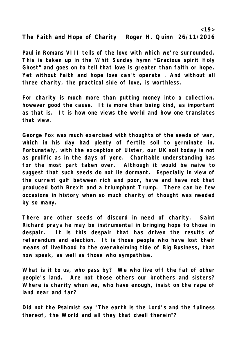**The Faith and Hope of Charity Roger H. Quinn 26/11/2016**

**Paul in Romans VIII tells of the love with which we're surrounded. This is taken up in the Whit Sunday hymn "Gracious spirit Holy Ghost" and goes on to tell that love is greater than faith or hope. Yet without faith and hope love can't operate . And without all three charity, the practical side of love, is worthless.** 

**For charity is much more than putting money into a collection, however good the cause. It is more than being kind, as important as that is. It is how one views the world and how one translates that view.** 

**George Fox was much exercised with thoughts of the seeds of war, which in his day had plenty of fertile soil to germinate in. Fortunately, with the exception of Ulster, our UK soil today is not as prolific as in the days of yore. Charitable understanding has for the most part taken over. Although it would be naive to suggest that such seeds do not lie dormant. Especially in view of the current gulf between rich and poor, have and have not that produced both Brexit and a triumphant Trump. There can be few occasions in history when so much charity of thought was needed by so many.** 

**There are other seeds of discord in need of charity. Saint Richard prays he may be instrumental in bringing hope to those in despair. It is this despair that has driven the results of referendum and election. It is those people who have lost their means of livelihood to the overwhelming tide of Big Business, that now speak, as well as those who sympathise.** 

**What is it to us, who pass by? We who live off the fat of other people's land. Are not those others our brothers and sisters? Where is charity when we, who have enough, insist on the rape of land near and far?**

**Did not the Psalmist say "The earth is the Lord's and the fullness thereof, the World and all they that dwell therein"?**